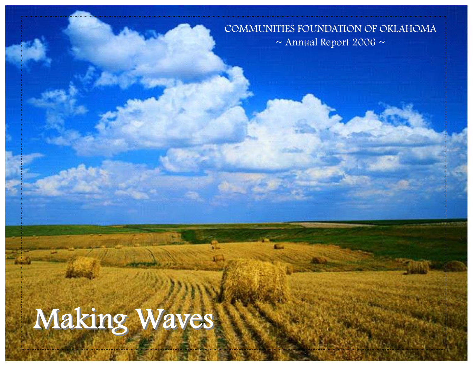COMMUNITIES FOUNDATION OF OKLAHOMA  $\sim$  Annual Report 2006  $\sim$ 

# Making Waves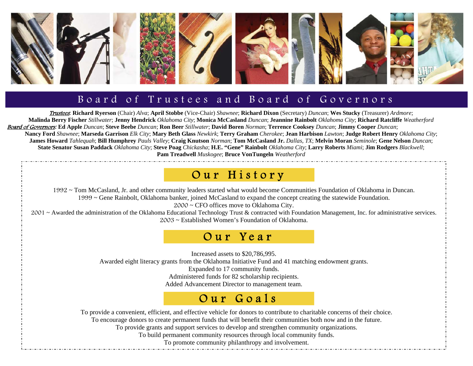

#### Board of Trustees and Board of Governors

Trustees: **Richard Ryerson** (Chair) *Alva*; **April Stobbe** (Vice-Chair) *Shawnee*; **Richard Dixon** (Secretary) *Duncan*; **Wes Stucky** (Treasurer) *Ardmore*; **Malinda Berry Fischer** *Stillwater*; **Jenny Hendrick** *Oklahoma City*; **Monica McCasland** *Duncan*; **Jeannine Rainbolt** *Oklahoma City*; **Richard Ratcliffe** *Weatherford*  <u>Board of Governors</u>: Ed Apple Duncan; Steve Beebe Duncan; Ron Beer Stillwater; David Boren Norman; Terrence Cooksey Duncan; Jimmy Cooper Duncan; Nancy Ford Shawnee; Marseda Garrison Elk City; Mary Beth Glass Newkirk; Terry Graham Cherokee; Jean Harbison Lawton; Judge Robert Henry Oklahoma City; James Howard Tahlequah; Bill Humphrey Pauls Valley; Craig Knutson Norman; Tom McCasland Jr. Dallas, TX; Melvin Moran Seminole; Gene Nelson Duncan; **State Senator Susan Paddack** *Oklahoma City*; **Steve Poag** *Chickasha*; **H.E. "Gene" Rainbolt** *Oklahoma City*; **Larry Roberts** *Miami*; **Jim Rodgers** *Blackwell*; **Pam Treadwell** *Muskogee*; **Bruce VonTungeln** *Weatherford*

#### Our History

1992 ~ Tom McCasland, Jr. and other community leaders started what would become Communities Foundation of Oklahoma in Duncan. 1999 ~ Gene Rainbolt, Oklahoma banker, joined McCasland to expand the concept creating the statewide Foundation.

2000 ~ CFO offices move to Oklahoma City.

2001 ~ Awarded the administration of the Oklahoma Educational Technology Trust & contracted with Foundation Management, Inc. for administrative services. 2003 ~ Established Women's Foundation of Oklahoma.

#### Our Year

Increased assets to \$20,786,995.

Awarded eight literacy grants from the Oklahoma Initiative Fund and 41 matching endowment grants.

Expanded to 17 community funds.

Administered funds for 82 scholarship recipients.

Added Advancement Director to management team.

#### Our Goals

To provide a convenient, efficient, and effective vehicle for donors to contribute to charitable concerns of their choice.

To encourage donors to create permanent funds that will benefit their communities both now and in the future.

To provide grants and support services to develop and strengthen community organizations.

To build permanent community resources through local community funds.

To promote community philanthropy and involvement.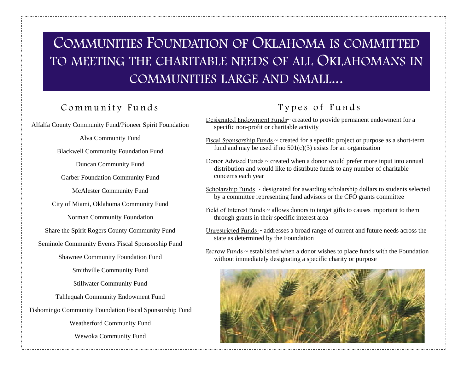## COMMUNITIES FOUNDATION OF OKLAHOMA IS COMMITTED TO MEETING THE CHARITABLE NEEDS OF ALL OKLAHOMANS IN COMMUNITIES LARGE AND SMALL...

#### Community Funds

Alfalfa County Community Fund/Pioneer Spirit Foundation

Alva Community Fund Blackwell Community Foundation Fund Duncan Community Fund Garber Foundation Community Fund McAlester Community Fund City of Miami, Oklahoma Community Fund Norman Community Foundation Share the Spirit Rogers County Community Fund Seminole Community Events Fiscal Sponsorship Fund Shawnee Community Foundation Fund Smithville Community Fund Stillwater Community Fund Tahlequah Community Endowment Fund Tishomingo Community Foundation Fiscal Sponsorship Fund Weatherford Community Fund Wewoka Community Fund

#### Types of Funds

Designated Endowment Funds~ created to provide permanent endowment for a specific non-profit or charitable activity

Fiscal Sponsorship Funds ~ created for a specific project or purpose as a short-term fund and may be used if no  $501(c)(3)$  exists for an organization

Donor Advised Funds ~ created when a donor would prefer more input into annual distribution and would like to distribute funds to any number of charitable concerns each year

Scholarship Funds  $\sim$  designated for awarding scholarship dollars to students selected by a committee representing fund advisors or the CFO grants committee

Field of Interest Funds  $\sim$  allows donors to target gifts to causes important to them through grants in their specific interest area

Unrestricted Funds ~ addresses a broad range of current and future needs across the state as determined by the Foundation

Escrow Funds  $\sim$  established when a donor wishes to place funds with the Foundation without immediately designating a specific charity or purpose

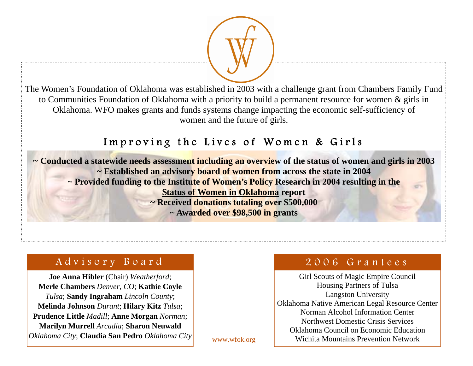The Women's Foundation of Oklahoma was established in 2003 with a challenge grant from Chambers Family Fund to Communities Foundation of Oklahoma with a priority to build a permanent resource for women & girls in Oklahoma. WFO makes grants and funds systems change impacting the economic self-sufficiency of women and the future of girls.

#### Improving the Lives of Women & Girls

**~ Conducted a statewide needs assessment including an overview of the status of women and girls in 2003 ~ Established an advisory board of women from across the state in 2004 ~ Provided funding to the Institute of Women's Policy Research in 2004 resulting in the Status of Women in Oklahoma report ~ Received donations totaling over \$500,000 ~ Awarded over \$98,500 in grants** 

#### Advisory Board

**Joe Anna Hibler** (Chair) *Weatherford*; **Merle Chambers** *Denver, CO*; **Kathie Coyle**  *Tulsa*; **Sandy Ingraham** *Lincoln County*; **Melinda Johnson** *Durant*; **Hilary Kitz** *Tulsa*; **Prudence Little** *Madill*; **Anne Morgan** *Norman*; **Marilyn Murrell** *Arcadia*; **Sharon Neuwald**  *Oklahoma City*; **Claudia San Pedro** *Oklahoma City* 2006 Grantees

Girl Scouts of Magic Empire Council Housing Partners of Tulsa Langston University Oklahoma Native American Legal Resource Center Norman Alcohol Information Center Northwest Domestic Crisis Services Oklahoma Council on Economic Education Wichita Mountains Prevention Network

www.wfok.org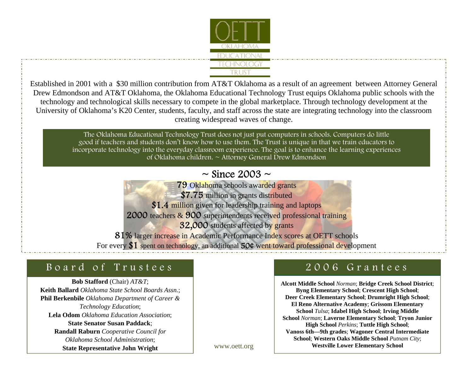

Established in 2001 with a \$30 million contribution from AT&T Oklahoma as a result of an agreement between Attorney General Drew Edmondson and AT&T Oklahoma, the Oklahoma Educational Technology Trust equips Oklahoma public schools with the technology and technological skills necessary to compete in the global marketplace. Through technology development at the University of Oklahoma's K20 Center, students, faculty, and staff across the state are integrating technology into the classroom creating widespread waves of change.

> The Oklahoma Educational Technology Trust does not just put computers in schools. Computers do little good if teachers and students don't know how to use them. The Trust is unique in that we train educators to incorporate technology into the everyday classroom experience. The goal is to enhance the learning experiences of Oklahoma children. ~ Attorney General Drew Edmondson

#### $\sim$  Since 2003  $\sim$

**79 Oklahoma schools awarded grants** \$7.75 million in grants distributed \$1.4 million given for leadership training and laptops 2000 teachers & 900 superintendents received professional training **32,000** students affected by grants 81% larger increase in Academic Performance Index scores at OETT schools

For every  $$1$  spent on technology, an additional 50¢ went toward professional development

#### Board of Trustees

**Bob Stafford** (Chair) *AT&T*; **Keith Ballard** *Oklahoma State School Boards Assn.*; **Phil Berkenbile** *Oklahoma Department of Career & Technology Education*; **Lela Odom** *Oklahoma Education Association*; **State Senator Susan Paddack**; **Randall Raburn** *Cooperative Council for Oklahoma School Administration*; **State Representative John Wright** 

#### 2006 Grantees

**Alcott Middle School** *Norman*; **Bridge Creek School District**; **Byng Elementary School**; **Crescent High School**; **Deer Creek Elementary School**; **Drumright High School**; **El Reno Alternative Academy**; **Grissom Elementary School** *Tulsa*; **Idabel High School**; **Irving Middle School** *Norman*; **Laverne Elementary School**; **Tryon Junior High School** *Perkins*; **Tuttle High School**; **Vanoss 6th—9th grades**; **Wagoner Central Intermediate School**; **Western Oaks Middle School** *Putnam City*; **Westville Lower Elementary School** 

www.oett.org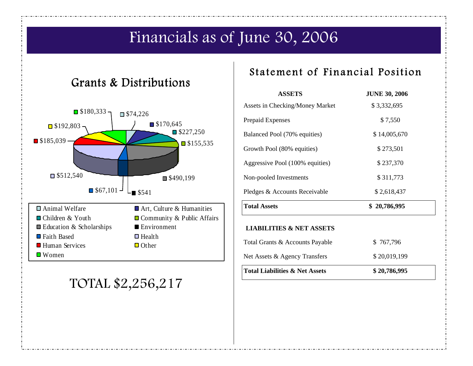## Financials as of June 30, 2006

#### Grants & Distributions



### TOTAL \$2,256,217

#### Statement of Financial Position

| <b>ASSETS</b>                             | <b>JUNE 30, 2006</b> |  |  |
|-------------------------------------------|----------------------|--|--|
| Assets in Checking/Money Market           | \$3,332,695          |  |  |
| Prepaid Expenses                          | \$7,550              |  |  |
| Balanced Pool (70% equities)              | \$14,005,670         |  |  |
| Growth Pool (80% equities)                | \$273,501            |  |  |
| Aggressive Pool (100% equities)           | \$237,370            |  |  |
| Non-pooled Investments                    | \$311,773            |  |  |
| Pledges & Accounts Receivable             | \$2,618,437          |  |  |
| <b>Total Assets</b>                       | \$20,786,995         |  |  |
| <b>LIABILITIES &amp; NET ASSETS</b>       |                      |  |  |
| Total Grants & Accounts Payable           | \$767,796            |  |  |
| Net Assets & Agency Transfers             | \$20,019,199         |  |  |
| <b>Total Liabilities &amp; Net Assets</b> | \$20,786,995         |  |  |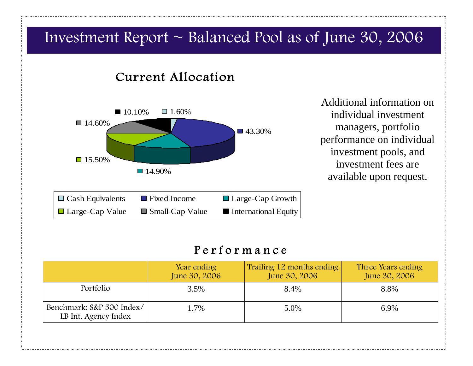

#### Performance

|                                                   | Year ending<br>June 30, 2006 | Trailing 12 months ending<br>June 30, 2006 | Three Years ending<br>June 30, 2006 |
|---------------------------------------------------|------------------------------|--------------------------------------------|-------------------------------------|
| Portfolio                                         | 3.5%                         | 8.4%                                       | 8.8%                                |
| Benchmark: S&P 500 Index/<br>LB Int. Agency Index | 1.7%                         | 5.0%                                       | 6.9%                                |